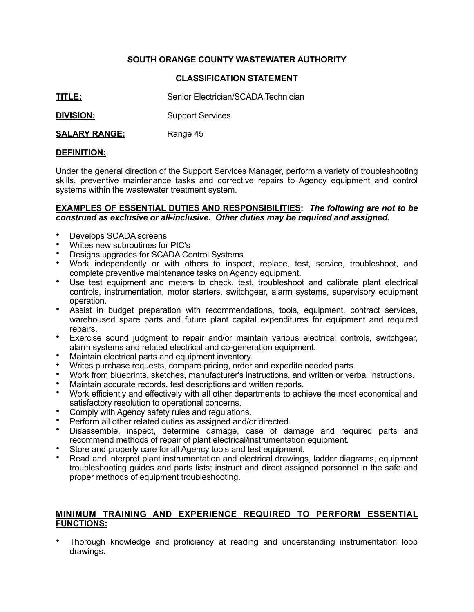## **SOUTH ORANGE COUNTY WASTEWATER AUTHORITY**

## **CLASSIFICATION STATEMENT**

**TITLE:** Senior Electrician/SCADA Technician

**DIVISION:** Support Services

## **SALARY RANGE:** Range 45

#### **DEFINITION:**

Under the general direction of the Support Services Manager, perform a variety of troubleshooting skills, preventive maintenance tasks and corrective repairs to Agency equipment and control systems within the wastewater treatment system.

#### **EXAMPLES OF ESSENTIAL DUTIES AND RESPONSIBILITIES:** *The following are not to be construed as exclusive or all-inclusive. Other duties may be required and assigned.*

- Develops SCADA screens
- Writes new subroutines for PIC's
- Designs upgrades for SCADA Control Systems
- Work independently or with others to inspect, replace, test, service, troubleshoot, and complete preventive maintenance tasks on Agency equipment.
- Use test equipment and meters to check, test, troubleshoot and calibrate plant electrical controls, instrumentation, motor starters, switchgear, alarm systems, supervisory equipment operation.
- Assist in budget preparation with recommendations, tools, equipment, contract services, warehoused spare parts and future plant capital expenditures for equipment and required repairs.
- Exercise sound judgment to repair and/or maintain various electrical controls, switchgear, alarm systems and related electrical and co-generation equipment.
- Maintain electrical parts and equipment inventory.
- Writes purchase requests, compare pricing, order and expedite needed parts.
- Work from blueprints, sketches, manufacturer's instructions, and written or verbal instructions.
- Maintain accurate records, test descriptions and written reports.<br>• Work efficiently and effectively with all other departments to ach
- Work efficiently and effectively with all other departments to achieve the most economical and satisfactory resolution to operational concerns.
- Comply with Agency safety rules and regulations.
- Perform all other related duties as assigned and/or directed.
- Disassemble, inspect, determine damage, case of damage and required parts and recommend methods of repair of plant electrical/instrumentation equipment.
- Store and properly care for all Agency tools and test equipment.
- Read and interpret plant instrumentation and electrical drawings, ladder diagrams, equipment troubleshooting guides and parts lists; instruct and direct assigned personnel in the safe and proper methods of equipment troubleshooting.

#### **MINIMUM TRAINING AND EXPERIENCE REQUIRED TO PERFORM ESSENTIAL FUNCTIONS:**

• Thorough knowledge and proficiency at reading and understanding instrumentation loop drawings.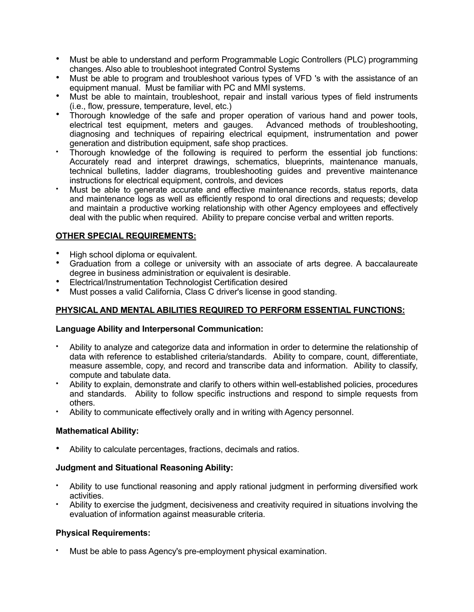- Must be able to understand and perform Programmable Logic Controllers (PLC) programming changes. Also able to troubleshoot integrated Control Systems
- Must be able to program and troubleshoot various types of VFD 's with the assistance of an equipment manual. Must be familiar with PC and MMI systems.
- Must be able to maintain, troubleshoot, repair and install various types of field instruments (i.e., flow, pressure, temperature, level, etc.)
- Thorough knowledge of the safe and proper operation of various hand and power tools, electrical test equipment, meters and gauges. Advanced methods of troubleshooting, diagnosing and techniques of repairing electrical equipment, instrumentation and power generation and distribution equipment, safe shop practices.
- Thorough knowledge of the following is required to perform the essential job functions: Accurately read and interpret drawings, schematics, blueprints, maintenance manuals, technical bulletins, ladder diagrams, troubleshooting guides and preventive maintenance instructions for electrical equipment, controls, and devices
- Must be able to generate accurate and effective maintenance records, status reports, data and maintenance logs as well as efficiently respond to oral directions and requests; develop and maintain a productive working relationship with other Agency employees and effectively deal with the public when required. Ability to prepare concise verbal and written reports.

# **OTHER SPECIAL REQUIREMENTS:**

- High school diploma or equivalent.
- Graduation from a college or university with an associate of arts degree. A baccalaureate degree in business administration or equivalent is desirable.
- Electrical/Instrumentation Technologist Certification desired
- Must posses a valid California, Class C driver's license in good standing.

## **PHYSICAL AND MENTAL ABILITIES REQUIRED TO PERFORM ESSENTIAL FUNCTIONS:**

#### **Language Ability and Interpersonal Communication:**

- Ability to analyze and categorize data and information in order to determine the relationship of data with reference to established criteria/standards. Ability to compare, count, differentiate, measure assemble, copy, and record and transcribe data and information. Ability to classify, compute and tabulate data.
- Ability to explain, demonstrate and clarify to others within well-established policies, procedures and standards. Ability to follow specific instructions and respond to simple requests from others.
- Ability to communicate effectively orally and in writing with Agency personnel.

## **Mathematical Ability:**

• Ability to calculate percentages, fractions, decimals and ratios.

## **Judgment and Situational Reasoning Ability:**

- Ability to use functional reasoning and apply rational judgment in performing diversified work activities.
- Ability to exercise the judgment, decisiveness and creativity required in situations involving the evaluation of information against measurable criteria.

## **Physical Requirements:**

• Must be able to pass Agency's pre-employment physical examination.